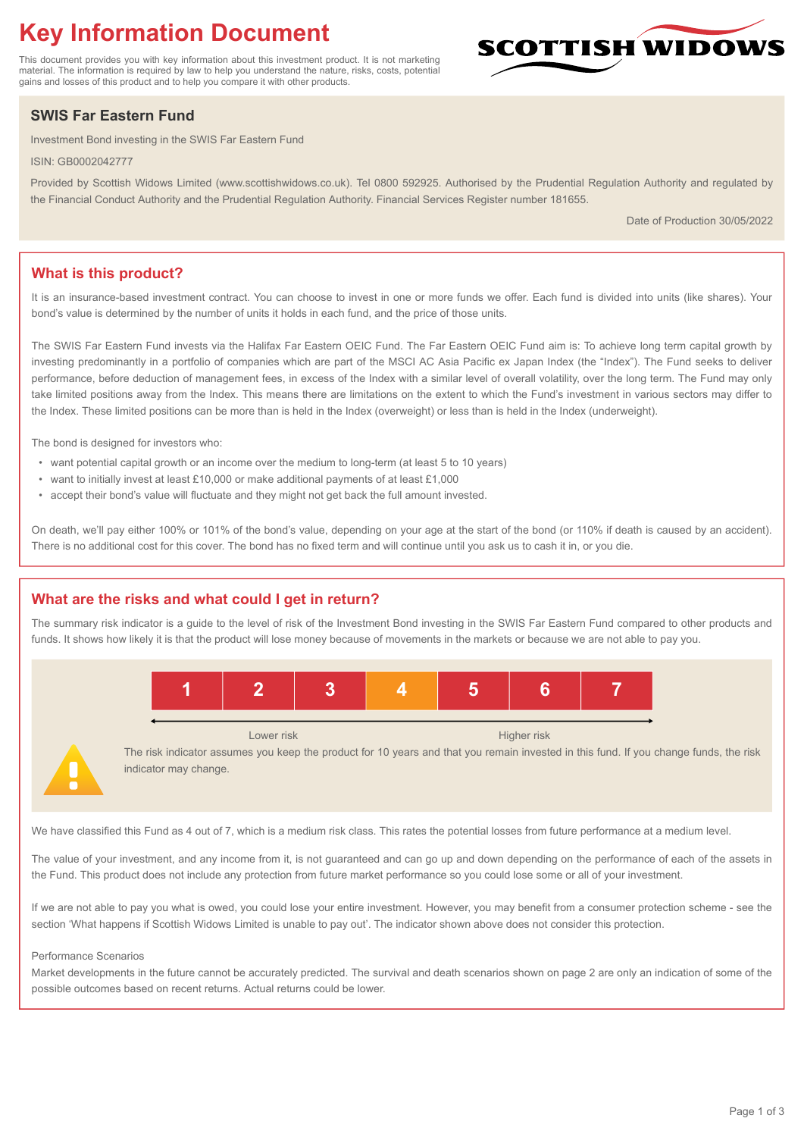# **Key Information Document**

This document provides you with key information about this investment product. It is not marketing material. The information is required by law to help you understand the nature, risks, costs, potential gains and losses of this product and to help you compare it with other products.

## **SWIS Far Eastern Fund**

Investment Bond investing in the SWIS Far Eastern Fund

ISIN: GB0002042777

Provided by Scottish Widows Limited (www.scottishwidows.co.uk). Tel 0800 592925. Authorised by the Prudential Regulation Authority and regulated by the Financial Conduct Authority and the Prudential Regulation Authority. Financial Services Register number 181655.

Date of Production 30/05/2022

**SCOTTISH WIDOW** 

## **What is this product?**

It is an insurance-based investment contract. You can choose to invest in one or more funds we offer. Each fund is divided into units (like shares). Your bond's value is determined by the number of units it holds in each fund, and the price of those units.

The SWIS Far Eastern Fund invests via the Halifax Far Eastern OEIC Fund. The Far Eastern OEIC Fund aim is: To achieve long term capital growth by investing predominantly in a portfolio of companies which are part of the MSCI AC Asia Pacific ex Japan Index (the "Index"). The Fund seeks to deliver performance, before deduction of management fees, in excess of the Index with a similar level of overall volatility, over the long term. The Fund may only take limited positions away from the Index. This means there are limitations on the extent to which the Fund's investment in various sectors may differ to the Index. These limited positions can be more than is held in the Index (overweight) or less than is held in the Index (underweight).

The bond is designed for investors who:

- want potential capital growth or an income over the medium to long-term (at least 5 to 10 years)
- want to initially invest at least £10,000 or make additional payments of at least £1,000
- accept their bond's value will fluctuate and they might not get back the full amount invested.

On death, we'll pay either 100% or 101% of the bond's value, depending on your age at the start of the bond (or 110% if death is caused by an accident). There is no additional cost for this cover. The bond has no fixed term and will continue until you ask us to cash it in, or you die.

## **What are the risks and what could I get in return?**

The summary risk indicator is a guide to the level of risk of the Investment Bond investing in the SWIS Far Eastern Fund compared to other products and funds. It shows how likely it is that the product will lose money because of movements in the markets or because we are not able to pay you.



The risk indicator assumes you keep the product for 10 years and that you remain invested in this fund. If you change funds, the risk indicator may change.

We have classified this Fund as 4 out of 7, which is a medium risk class. This rates the potential losses from future performance at a medium level.

The value of your investment, and any income from it, is not guaranteed and can go up and down depending on the performance of each of the assets in the Fund. This product does not include any protection from future market performance so you could lose some or all of your investment.

If we are not able to pay you what is owed, you could lose your entire investment. However, you may benefit from a consumer protection scheme - see the section 'What happens if Scottish Widows Limited is unable to pay out'. The indicator shown above does not consider this protection.

#### Performance Scenarios

Market developments in the future cannot be accurately predicted. The survival and death scenarios shown on page 2 are only an indication of some of the possible outcomes based on recent returns. Actual returns could be lower.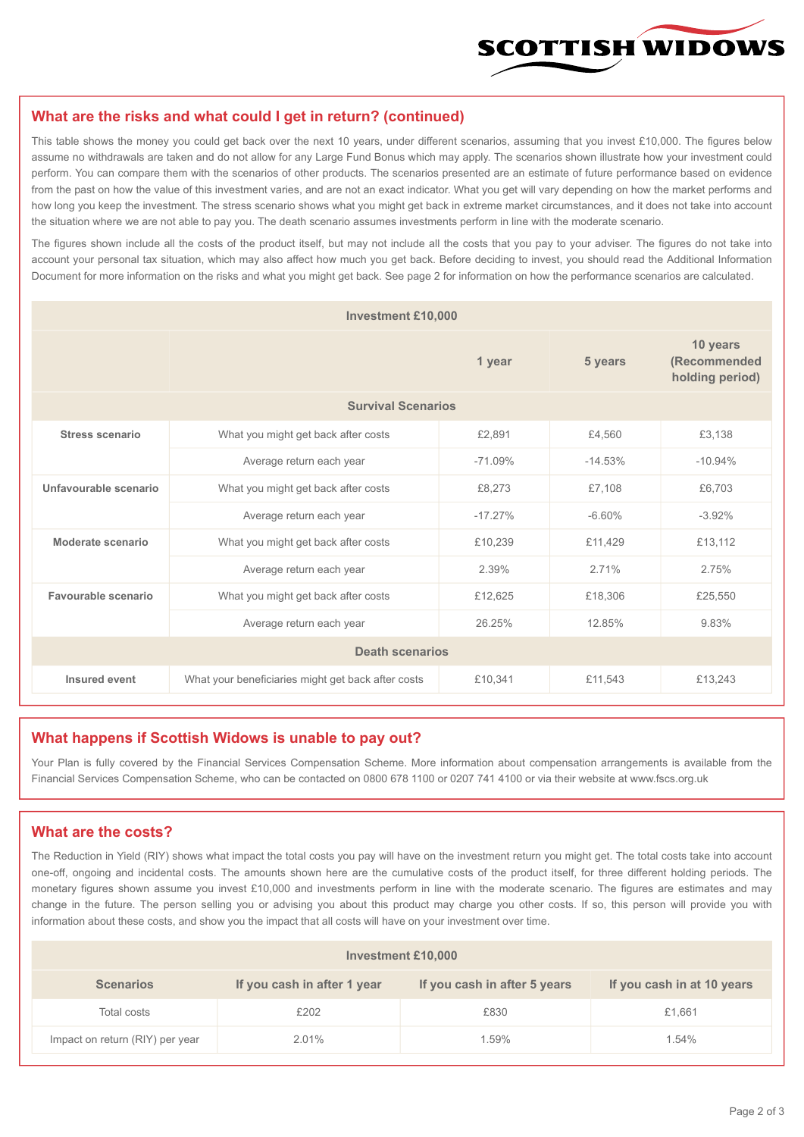

#### **What are the risks and what could I get in return? (continued)**

This table shows the money you could get back over the next 10 years, under different scenarios, assuming that you invest £10,000. The figures below assume no withdrawals are taken and do not allow for any Large Fund Bonus which may apply. The scenarios shown illustrate how your investment could perform. You can compare them with the scenarios of other products. The scenarios presented are an estimate of future performance based on evidence from the past on how the value of this investment varies, and are not an exact indicator. What you get will vary depending on how the market performs and how long you keep the investment. The stress scenario shows what you might get back in extreme market circumstances, and it does not take into account the situation where we are not able to pay you. The death scenario assumes investments perform in line with the moderate scenario.

The figures shown include all the costs of the product itself, but may not include all the costs that you pay to your adviser. The figures do not take into account your personal tax situation, which may also affect how much you get back. Before deciding to invest, you should read the Additional Information Document for more information on the risks and what you might get back. See page 2 for information on how the performance scenarios are calculated.

| <b>Investment £10,000</b> |                                                    |           |                                             |           |  |  |
|---------------------------|----------------------------------------------------|-----------|---------------------------------------------|-----------|--|--|
|                           |                                                    | 5 years   | 10 years<br>(Recommended<br>holding period) |           |  |  |
| <b>Survival Scenarios</b> |                                                    |           |                                             |           |  |  |
| <b>Stress scenario</b>    | £2,891<br>What you might get back after costs      |           | £4,560                                      | £3,138    |  |  |
|                           | Average return each year                           | $-71.09%$ | $-14.53%$                                   | $-10.94%$ |  |  |
| Unfavourable scenario     | What you might get back after costs<br>£8,273      |           | £7,108                                      | £6,703    |  |  |
|                           | Average return each year                           | $-17.27%$ | $-6.60%$                                    | $-3.92%$  |  |  |
| Moderate scenario         | What you might get back after costs                | £10,239   | £11,429                                     | £13,112   |  |  |
|                           | Average return each year                           | 2.39%     | 2.71%                                       | 2.75%     |  |  |
| Favourable scenario       | What you might get back after costs                | £12,625   | £18,306                                     | £25,550   |  |  |
| Average return each year  |                                                    | 26.25%    | 12.85%                                      | 9.83%     |  |  |
| <b>Death scenarios</b>    |                                                    |           |                                             |           |  |  |
| Insured event             | What your beneficiaries might get back after costs | £10,341   | £11,543                                     | £13,243   |  |  |

#### **What happens if Scottish Widows is unable to pay out?**

Your Plan is fully covered by the Financial Services Compensation Scheme. More information about compensation arrangements is available from the Financial Services Compensation Scheme, who can be contacted on 0800 678 1100 or 0207 741 4100 or via their website at www.fscs.org.uk

### **What are the costs?**

The Reduction in Yield (RIY) shows what impact the total costs you pay will have on the investment return you might get. The total costs take into account one-off, ongoing and incidental costs. The amounts shown here are the cumulative costs of the product itself, for three different holding periods. The monetary figures shown assume you invest £10,000 and investments perform in line with the moderate scenario. The figures are estimates and may change in the future. The person selling you or advising you about this product may charge you other costs. If so, this person will provide you with information about these costs, and show you the impact that all costs will have on your investment over time.

| Investment £10,000              |                             |                              |                            |  |  |  |
|---------------------------------|-----------------------------|------------------------------|----------------------------|--|--|--|
| <b>Scenarios</b>                | If you cash in after 1 year | If you cash in after 5 years | If you cash in at 10 years |  |  |  |
| Total costs                     | £202                        | £830                         | £1,661                     |  |  |  |
| Impact on return (RIY) per year | 2.01%                       | 1.59%                        | 1.54%                      |  |  |  |